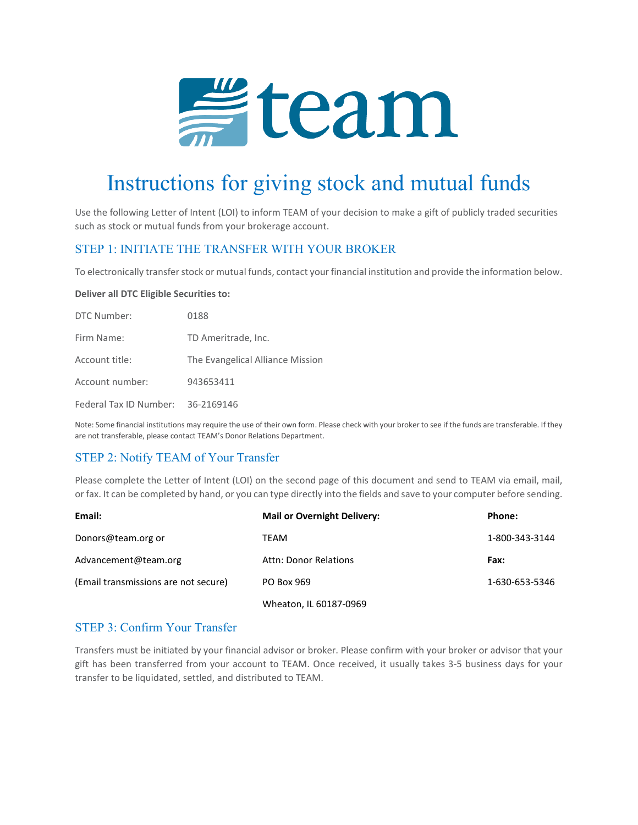

# Instructions for giving stock and mutual funds

Use the following Letter of Intent (LOI) to inform TEAM of your decision to make a gift of publicly traded securities such as stock or mutual funds from your brokerage account.

#### STEP 1: INITIATE THE TRANSFER WITH YOUR BROKER

To electronically transfer stock or mutual funds, contact your financial institution and provide the information below.

#### **Deliver all DTC Eligible Securities to:**

| DTC Number:                       | 0188                             |
|-----------------------------------|----------------------------------|
| Firm Name:                        | TD Ameritrade, Inc.              |
| Account title:                    | The Evangelical Alliance Mission |
| Account number:                   | 943653411                        |
| Federal Tax ID Number: 36-2169146 |                                  |

Note: Some financial institutions may require the use of their own form. Please check with your broker to see if the funds are transferable. If they are not transferable, please contact TEAM's Donor Relations Department.

## STEP 2: Notify TEAM of Your Transfer

Please complete the Letter of Intent (LOI) on the second page of this document and send to TEAM via email, mail, or fax. It can be completed by hand, or you can type directly into the fields and save to your computer before sending.

| Email:                               | <b>Mail or Overnight Delivery:</b> | Phone:         |
|--------------------------------------|------------------------------------|----------------|
| Donors@team.org or                   | TEAM                               | 1-800-343-3144 |
| Advancement@team.org                 | Attn: Donor Relations              | Fax:           |
| (Email transmissions are not secure) | PO Box 969                         | 1-630-653-5346 |
|                                      | Wheaton, IL 60187-0969             |                |

#### STEP 3: Confirm Your Transfer

Transfers must be initiated by your financial advisor or broker. Please confirm with your broker or advisor that your gift has been transferred from your account to TEAM. Once received, it usually takes 3-5 business days for your transfer to be liquidated, settled, and distributed to TEAM.